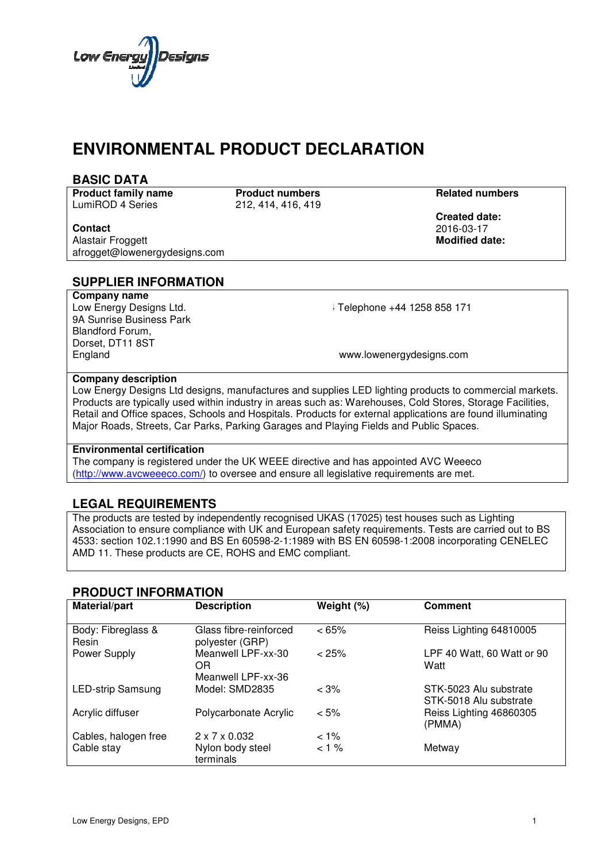

# **ENVIRONMENTAL PRODUCT DECLARATION**

| <b>BASIC DATA</b> |  |  |  |  |
|-------------------|--|--|--|--|
|-------------------|--|--|--|--|

**Product family name** LumiROD 4 Series

**Product numbers Related numbers** 212, 414, 416, 419

#### **Contact**

Alastair Froggett afrogget@lowenergydesigns.com

 **Created date:** 2016 2016-03-17 **Modified date:**

# **SUPPLIER INFORMATION**

**Company name** Low Energy Designs Ltd. 9A Sunrise Business Park Blandford Forum, Dorset, DT11 8ST England

+44 Telephone +44 1258 858 171 171

www.lowenergydesigns.com

### **Company description**

Low Energy Designs Ltd designs, manufactures and supplies LED lighting products to commercial markets. Products are typically used within industry in areas such as: Warehouses, Cold Stores, Storage Facilities, Retail and Office spaces, Schools and Hospitals. Products for external applications are found illuminating Major Roads, Streets, Car Parks, Parking Garages and Playing Fields and Public Spaces.<br>**Environmental certification** 

#### **Environmental certification**

The company is registered under the UK WEEE directive and has appointed AVC Weeeco (http://www.avcweeeco.com/) to oversee and ensure all legislative requirements are met.

# **LEGAL REQUIREMENTS**

The products are tested by independently recognised UKAS (17025) test houses such as Lighting Association to ensure compliance with UK and European safety requirements. Tests are carried out to 4533: section 102.1:1990 and BS En 60598-2-1:1989 with BS EN 60598-1:2008 incorporating CENELEC AMD 11. These products are CE, ROHS and EMC compliant. . www.avcweeeco.com/) to oversee and ensure all legislative requirements are met.<br> **AL REQUIREMENTS**<br>
oducts are tested by independently recognised UKAS (17025) test houses such as Lighting<br>
ation to ensure compliance with U ations are found illuminating<br>ublic Spaces.<br>AVC Weeeco<br>nts are met.<br>ses such as Lighting<br>s. Tests are carried out to BS

## **PRODUCT INFORMATION**

| 4533: section 102.1:1990 and BS En 60598-2-1:1989 with BS EN 60598-1:2008 incorporating CENELEC<br>AMD 11. These products are CE, ROHS and EMC compliant. |                                                 |            |                                                  |  |  |
|-----------------------------------------------------------------------------------------------------------------------------------------------------------|-------------------------------------------------|------------|--------------------------------------------------|--|--|
| <b>PRODUCT INFORMATION</b>                                                                                                                                |                                                 |            |                                                  |  |  |
| Material/part                                                                                                                                             | <b>Description</b>                              | Weight (%) | <b>Comment</b>                                   |  |  |
| Body: Fibreglass &<br>Resin                                                                                                                               | Glass fibre-reinforced<br>polyester (GRP)       | <65%       | Reiss Lighting 64810005                          |  |  |
| Power Supply                                                                                                                                              | Meanwell LPF-xx-30<br>OR.<br>Meanwell LPF-xx-36 | < 25%      | LPF 40 Watt, 60 Watt or 90<br>Watt               |  |  |
| <b>LED-strip Samsung</b>                                                                                                                                  | Model: SMD2835                                  | $< 3\%$    | STK-5023 Alu substrate<br>STK-5018 Alu substrate |  |  |
| Acrylic diffuser                                                                                                                                          | Polycarbonate Acrylic                           | $< 5\%$    | Reiss Lighting 46860305<br>(PMMA)                |  |  |
| Cables, halogen free                                                                                                                                      | $2 \times 7 \times 0.032$                       | $< 1\%$    |                                                  |  |  |
| Cable stay                                                                                                                                                | Nylon body steel<br>terminals                   | 1%         | Metway                                           |  |  |